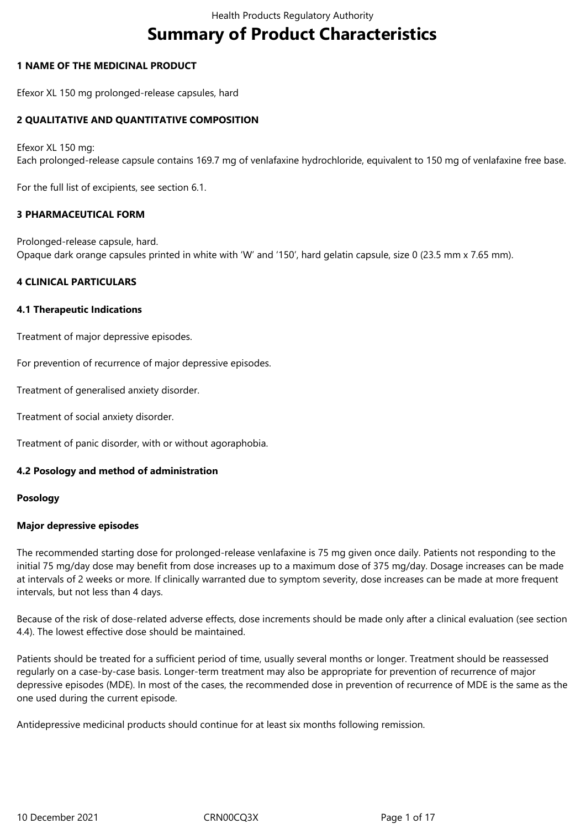# **Summary of Product Characteristics**

#### **1 NAME OF THE MEDICINAL PRODUCT**

Efexor XL 150 mg prolonged-release capsules, hard

## **2 QUALITATIVE AND QUANTITATIVE COMPOSITION**

Efexor XL 150 mg: Each prolonged-release capsule contains 169.7 mg of venlafaxine hydrochloride, equivalent to 150 mg of venlafaxine free base.

For the full list of excipients, see section 6.1.

#### **3 PHARMACEUTICAL FORM**

Prolonged-release capsule, hard. Opaque dark orange capsules printed in white with 'W' and '150', hard gelatin capsule, size 0 (23.5 mm x 7.65 mm).

#### **4 CLINICAL PARTICULARS**

#### **4.1 Therapeutic Indications**

Treatment of major depressive episodes.

For prevention of recurrence of major depressive episodes.

Treatment of generalised anxiety disorder.

Treatment of social anxiety disorder.

Treatment of panic disorder, with or without agoraphobia.

#### **4.2 Posology and method of administration**

#### **Posology**

#### **Major depressive episodes**

The recommended starting dose for prolonged-release venlafaxine is 75 mg given once daily. Patients not responding to the initial 75 mg/day dose may benefit from dose increases up to a maximum dose of 375 mg/day. Dosage increases can be made at intervals of 2 weeks or more. If clinically warranted due to symptom severity, dose increases can be made at more frequent intervals, but not less than 4 days.

Because of the risk of dose-related adverse effects, dose increments should be made only after a clinical evaluation (see section 4.4). The lowest effective dose should be maintained.

Patients should be treated for a sufficient period of time, usually several months or longer. Treatment should be reassessed regularly on a case-by-case basis. Longer-term treatment may also be appropriate for prevention of recurrence of major depressive episodes (MDE). In most of the cases, the recommended dose in prevention of recurrence of MDE is the same as the one used during the current episode.

Antidepressive medicinal products should continue for at least six months following remission.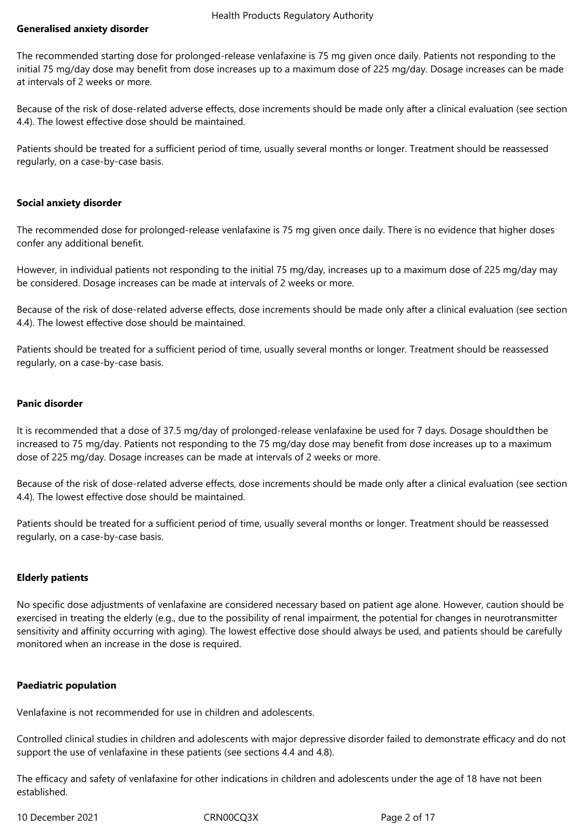#### **Generalised anxiety disorder**

The recommended starting dose for prolonged-release venlafaxine is 75 mg given once daily. Patients not responding to the initial 75 mg/day dose may benefit from dose increases up to a maximum dose of 225 mg/day. Dosage increases can be made at intervals of 2 weeks or more.

Because of the risk of dose-related adverse effects, dose increments should be made only after a clinical evaluation (see section 4.4). The lowest effective dose should be maintained.

Patients should be treated for a sufficient period of time, usually several months or longer. Treatment should be reassessed regularly, on a case-by-case basis.

#### **Social anxiety disorder**

The recommended dose for prolonged-release venlafaxine is 75 mg given once daily. There is no evidence that higher doses confer any additional benefit.

However, in individual patients not responding to the initial 75 mg/day, increases up to a maximum dose of 225 mg/day may be considered. Dosage increases can be made at intervals of 2 weeks or more.

Because of the risk of dose-related adverse effects, dose increments should be made only after a clinical evaluation (see section 4.4). The lowest effective dose should be maintained.

Patients should be treated for a sufficient period of time, usually several months or longer. Treatment should be reassessed regularly, on a case-by-case basis.

## **Panic disorder**

It is recommended that a dose of 37.5 mg/day of prolonged-release venlafaxine be used for 7 days. Dosage shouldthen be increased to 75 mg/day. Patients not responding to the 75 mg/day dose may benefit from dose increases up to a maximum dose of 225 mg/day. Dosage increases can be made at intervals of 2 weeks or more.

Because of the risk of dose-related adverse effects, dose increments should be made only after a clinical evaluation (see section 4.4). The lowest effective dose should be maintained.

Patients should be treated for a sufficient period of time, usually several months or longer. Treatment should be reassessed regularly, on a case-by-case basis.

#### **Elderly patients**

No specific dose adjustments of venlafaxine are considered necessary based on patient age alone. However, caution should be exercised in treating the elderly (e.g., due to the possibility of renal impairment, the potential for changes in neurotransmitter sensitivity and affinity occurring with aging). The lowest effective dose should always be used, and patients should be carefully monitored when an increase in the dose is required.

#### **Paediatric population**

Venlafaxine is not recommended for use in children and adolescents.

Controlled clinical studies in children and adolescents with major depressive disorder failed to demonstrate efficacy and do not support the use of venlafaxine in these patients (see sections 4.4 and 4.8).

The efficacy and safety of venlafaxine for other indications in children and adolescents under the age of 18 have not been established.

10 December 2021 CRN00CQ3X Page 2 of 17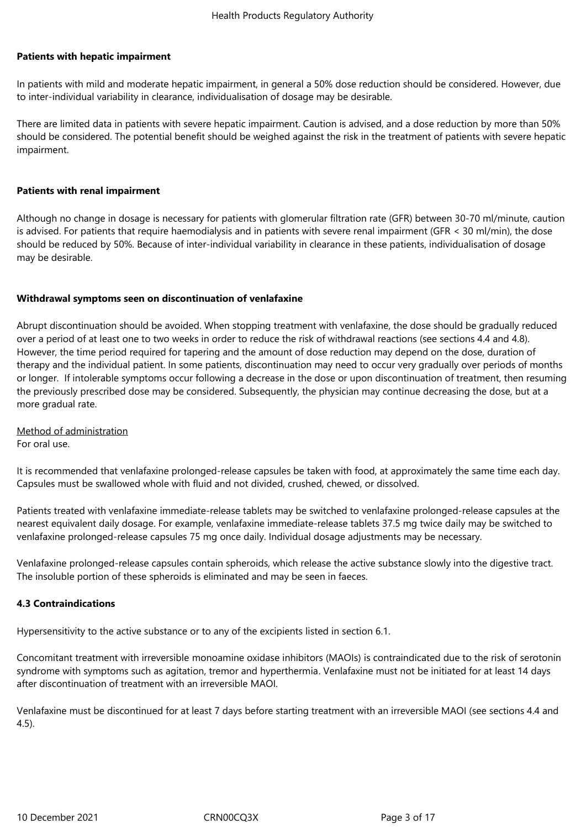#### **Patients with hepatic impairment**

In patients with mild and moderate hepatic impairment, in general a 50% dose reduction should be considered. However, due to inter-individual variability in clearance, individualisation of dosage may be desirable.

There are limited data in patients with severe hepatic impairment. Caution is advised, and a dose reduction by more than 50% should be considered. The potential benefit should be weighed against the risk in the treatment of patients with severe hepatic impairment.

#### **Patients with renal impairment**

Although no change in dosage is necessary for patients with glomerular filtration rate (GFR) between 30‑70 ml/minute, caution is advised. For patients that require haemodialysis and in patients with severe renal impairment (GFR < 30 ml/min), the dose should be reduced by 50%. Because of inter‑individual variability in clearance in these patients, individualisation of dosage may be desirable.

#### **Withdrawal symptoms seen on discontinuation of venlafaxine**

Abrupt discontinuation should be avoided. When stopping treatment with venlafaxine, the dose should be gradually reduced over a period of at least one to two weeks in order to reduce the risk of withdrawal reactions (see sections 4.4 and 4.8). However, the time period required for tapering and the amount of dose reduction may depend on the dose, duration of therapy and the individual patient. In some patients, discontinuation may need to occur very gradually over periods of months or longer. If intolerable symptoms occur following a decrease in the dose or upon discontinuation of treatment, then resuming the previously prescribed dose may be considered. Subsequently, the physician may continue decreasing the dose, but at a more gradual rate.

Method of administration For oral use.

It is recommended that venlafaxine prolonged‑release capsules be taken with food, at approximately the same time each day. Capsules must be swallowed whole with fluid and not divided, crushed, chewed, or dissolved.

Patients treated with venlafaxine immediate-release tablets may be switched to venlafaxine prolonged-release capsules at the nearest equivalent daily dosage. For example, venlafaxine immediate‑release tablets 37.5 mg twice daily may be switched to venlafaxine prolonged-release capsules 75 mg once daily. Individual dosage adjustments may be necessary.

Venlafaxine prolonged‑release capsules contain spheroids, which release the active substance slowly into the digestive tract. The insoluble portion of these spheroids is eliminated and may be seen in faeces.

#### **4.3 Contraindications**

Hypersensitivity to the active substance or to any of the excipients listed in section 6.1.

Concomitant treatment with irreversible monoamine oxidase inhibitors (MAOIs) is contraindicated due to the risk of serotonin syndrome with symptoms such as agitation, tremor and hyperthermia. Venlafaxine must not be initiated for at least 14 days after discontinuation of treatment with an irreversible MAOI.

Venlafaxine must be discontinued for at least 7 days before starting treatment with an irreversible MAOI (see sections 4.4 and 4.5).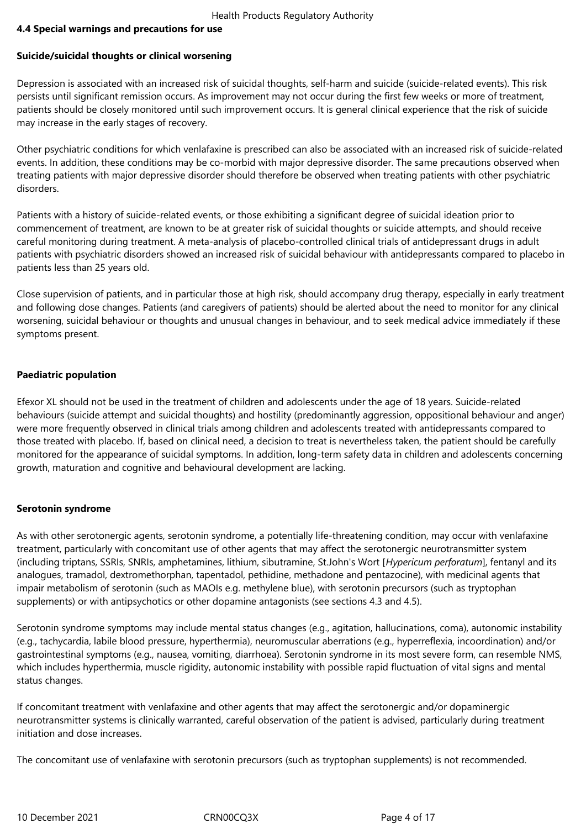## **4.4 Special warnings and precautions for use**

## **Suicide/suicidal thoughts or clinical worsening**

Depression is associated with an increased risk of suicidal thoughts, self-harm and suicide (suicide-related events). This risk persists until significant remission occurs. As improvement may not occur during the first few weeks or more of treatment, patients should be closely monitored until such improvement occurs. It is general clinical experience that the risk of suicide may increase in the early stages of recovery.

Other psychiatric conditions for which venlafaxine is prescribed can also be associated with an increased risk of suicide-related events. In addition, these conditions may be co-morbid with major depressive disorder. The same precautions observed when treating patients with major depressive disorder should therefore be observed when treating patients with other psychiatric disorders.

Patients with a history of suicide-related events, or those exhibiting a significant degree of suicidal ideation prior to commencement of treatment, are known to be at greater risk of suicidal thoughts or suicide attempts, and should receive careful monitoring during treatment. A meta‑analysis of placebo‑controlled clinical trials of antidepressant drugs in adult patients with psychiatric disorders showed an increased risk of suicidal behaviour with antidepressants compared to placebo in patients less than 25 years old.

Close supervision of patients, and in particular those at high risk, should accompany drug therapy, especially in early treatment and following dose changes. Patients (and caregivers of patients) should be alerted about the need to monitor for any clinical worsening, suicidal behaviour or thoughts and unusual changes in behaviour, and to seek medical advice immediately if these symptoms present.

## **Paediatric population**

Efexor XL should not be used in the treatment of children and adolescents under the age of 18 years. Suicide-related behaviours (suicide attempt and suicidal thoughts) and hostility (predominantly aggression, oppositional behaviour and anger) were more frequently observed in clinical trials among children and adolescents treated with antidepressants compared to those treated with placebo. If, based on clinical need, a decision to treat is nevertheless taken, the patient should be carefully monitored for the appearance of suicidal symptoms. In addition, long-term safety data in children and adolescents concerning growth, maturation and cognitive and behavioural development are lacking.

#### **Serotonin syndrome**

As with other serotonergic agents, serotonin syndrome, a potentially life-threatening condition, may occur with venlafaxine treatment, particularly with concomitant use of other agents that may affect the serotonergic neurotransmitter system (including triptans, SSRIs, SNRIs, amphetamines, lithium, sibutramine, St.John's Wort [*Hypericum perforatum*], fentanyl and its analogues, tramadol, dextromethorphan, tapentadol, pethidine, methadone and pentazocine), with medicinal agents that impair metabolism of serotonin (such as MAOIs e.g. methylene blue), with serotonin precursors (such as tryptophan supplements) or with antipsychotics or other dopamine antagonists (see sections 4.3 and 4.5).

Serotonin syndrome symptoms may include mental status changes (e.g., agitation, hallucinations, coma), autonomic instability (e.g., tachycardia, labile blood pressure, hyperthermia), neuromuscular aberrations (e.g., hyperreflexia, incoordination) and/or gastrointestinal symptoms (e.g., nausea, vomiting, diarrhoea). Serotonin syndrome in its most severe form, can resemble NMS, which includes hyperthermia, muscle rigidity, autonomic instability with possible rapid fluctuation of vital signs and mental status changes.

If concomitant treatment with venlafaxine and other agents that may affect the serotonergic and/or dopaminergic neurotransmitter systems is clinically warranted, careful observation of the patient is advised, particularly during treatment initiation and dose increases.

The concomitant use of venlafaxine with serotonin precursors (such as tryptophan supplements) is not recommended.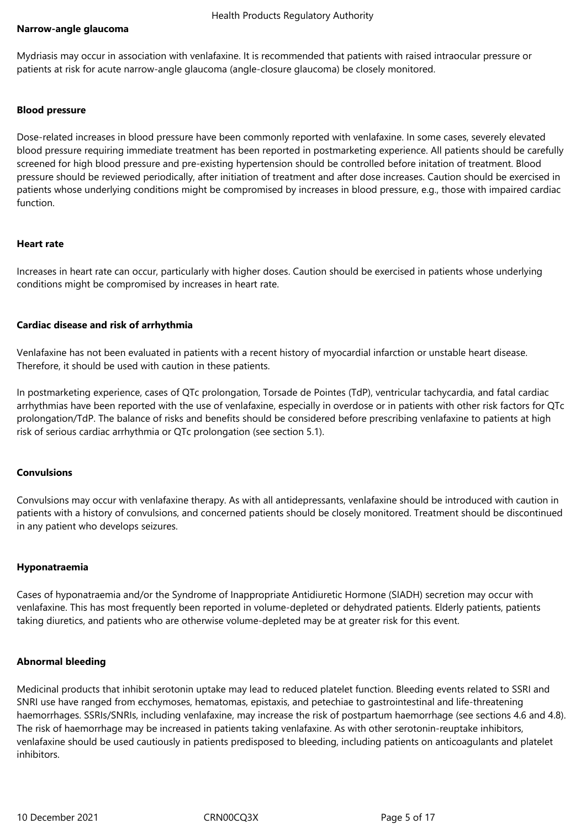#### **Narrow-angle glaucoma**

Mydriasis may occur in association with venlafaxine. It is recommended that patients with raised intraocular pressure or patients at risk for acute narrow-angle glaucoma (angle-closure glaucoma) be closely monitored.

#### **Blood pressure**

Dose-related increases in blood pressure have been commonly reported with venlafaxine. In some cases, severely elevated blood pressure requiring immediate treatment has been reported in postmarketing experience. All patients should be carefully screened for high blood pressure and pre-existing hypertension should be controlled before initation of treatment. Blood pressure should be reviewed periodically, after initiation of treatment and after dose increases. Caution should be exercised in patients whose underlying conditions might be compromised by increases in blood pressure, e.g., those with impaired cardiac function.

#### **Heart rate**

Increases in heart rate can occur, particularly with higher doses. Caution should be exercised in patients whose underlying conditions might be compromised by increases in heart rate.

## **Cardiac disease and risk of arrhythmia**

Venlafaxine has not been evaluated in patients with a recent history of myocardial infarction or unstable heart disease. Therefore, it should be used with caution in these patients.

In postmarketing experience, cases of QTc prolongation, Torsade de Pointes (TdP), ventricular tachycardia, and fatal cardiac arrhythmias have been reported with the use of venlafaxine, especially in overdose or in patients with other risk factors for QTc prolongation/TdP. The balance of risks and benefits should be considered before prescribing venlafaxine to patients at high risk of serious cardiac arrhythmia or QTc prolongation (see section 5.1).

#### **Convulsions**

Convulsions may occur with venlafaxine therapy. As with all antidepressants, venlafaxine should be introduced with caution in patients with a history of convulsions, and concerned patients should be closely monitored. Treatment should be discontinued in any patient who develops seizures.

#### **Hyponatraemia**

Cases of hyponatraemia and/or the Syndrome of Inappropriate Antidiuretic Hormone (SIADH) secretion may occur with venlafaxine. This has most frequently been reported in volume-depleted or dehydrated patients. Elderly patients, patients taking diuretics, and patients who are otherwise volume‑depleted may be at greater risk for this event.

#### **Abnormal bleeding**

Medicinal products that inhibit serotonin uptake may lead to reduced platelet function. Bleeding events related to SSRI and SNRI use have ranged from ecchymoses, hematomas, epistaxis, and petechiae to gastrointestinal and life-threatening haemorrhages. SSRIs/SNRIs, including venlafaxine, may increase the risk of postpartum haemorrhage (see sections 4.6 and 4.8). The risk of haemorrhage may be increased in patients taking venlafaxine. As with other serotonin-reuptake inhibitors, venlafaxine should be used cautiously in patients predisposed to bleeding, including patients on anticoagulants and platelet inhibitors.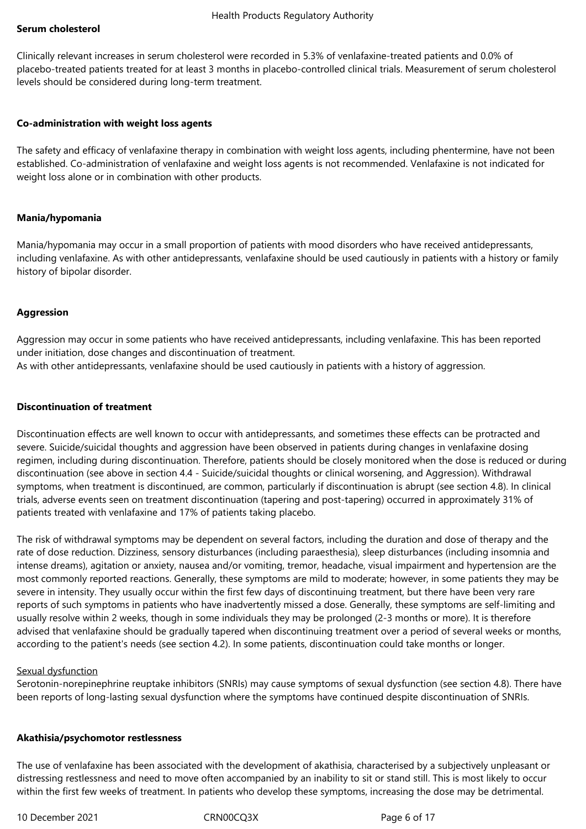#### **Serum cholesterol**

Clinically relevant increases in serum cholesterol were recorded in 5.3% of venlafaxine-treated patients and 0.0% of placebo-treated patients treated for at least 3 months in placebo‑controlled clinical trials. Measurement of serum cholesterol levels should be considered during long-term treatment.

#### **Co-administration with weight loss agents**

The safety and efficacy of venlafaxine therapy in combination with weight loss agents, including phentermine, have not been established. Co-administration of venlafaxine and weight loss agents is not recommended. Venlafaxine is not indicated for weight loss alone or in combination with other products.

#### **Mania/hypomania**

Mania/hypomania may occur in a small proportion of patients with mood disorders who have received antidepressants, including venlafaxine. As with other antidepressants, venlafaxine should be used cautiously in patients with a history or family history of bipolar disorder.

#### **Aggression**

Aggression may occur in some patients who have received antidepressants, including venlafaxine. This has been reported under initiation, dose changes and discontinuation of treatment.

As with other antidepressants, venlafaxine should be used cautiously in patients with a history of aggression.

#### **Discontinuation of treatment**

Discontinuation effects are well known to occur with antidepressants, and sometimes these effects can be protracted and severe. Suicide/suicidal thoughts and aggression have been observed in patients during changes in venlafaxine dosing regimen, including during discontinuation. Therefore, patients should be closely monitored when the dose is reduced or during discontinuation (see above in section 4.4 - Suicide/suicidal thoughts or clinical worsening, and Aggression). Withdrawal symptoms, when treatment is discontinued, are common, particularly if discontinuation is abrupt (see section 4.8). In clinical trials, adverse events seen on treatment discontinuation (tapering and post-tapering) occurred in approximately 31% of patients treated with venlafaxine and 17% of patients taking placebo.

The risk of withdrawal symptoms may be dependent on several factors, including the duration and dose of therapy and the rate of dose reduction. Dizziness, sensory disturbances (including paraesthesia), sleep disturbances (including insomnia and intense dreams), agitation or anxiety, nausea and/or vomiting, tremor, headache, visual impairment and hypertension are the most commonly reported reactions. Generally, these symptoms are mild to moderate; however, in some patients they may be severe in intensity. They usually occur within the first few days of discontinuing treatment, but there have been very rare reports of such symptoms in patients who have inadvertently missed a dose. Generally, these symptoms are self-limiting and usually resolve within 2 weeks, though in some individuals they may be prolonged (2‑3 months or more). It is therefore advised that venlafaxine should be gradually tapered when discontinuing treatment over a period of several weeks or months, according to the patient's needs (see section 4.2). In some patients, discontinuation could take months or longer.

#### Sexual dysfunction

Serotonin-norepinephrine reuptake inhibitors (SNRIs) may cause symptoms of sexual dysfunction (see section 4.8). There have been reports of long-lasting sexual dysfunction where the symptoms have continued despite discontinuation of SNRIs.

#### **Akathisia/psychomotor restlessness**

The use of venlafaxine has been associated with the development of akathisia, characterised by a subjectively unpleasant or distressing restlessness and need to move often accompanied by an inability to sit or stand still. This is most likely to occur within the first few weeks of treatment. In patients who develop these symptoms, increasing the dose may be detrimental.

10 December 2021 CRN00CQ3X Page 6 of 17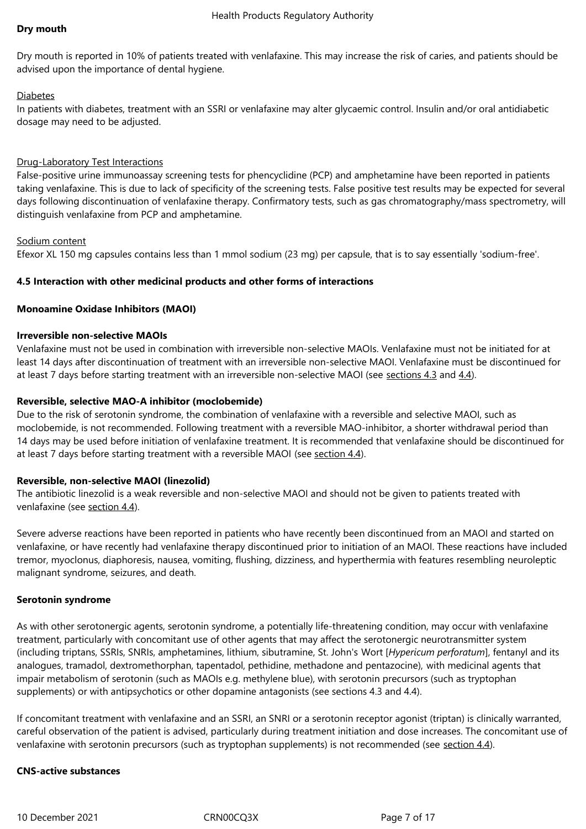Dry mouth is reported in 10% of patients treated with venlafaxine. This may increase the risk of caries, and patients should be advised upon the importance of dental hygiene.

## Diabetes

In patients with diabetes, treatment with an SSRI or venlafaxine may alter glycaemic control. Insulin and/or oral antidiabetic dosage may need to be adjusted.

## Drug-Laboratory Test Interactions

False-positive urine immunoassay screening tests for phencyclidine (PCP) and amphetamine have been reported in patients taking venlafaxine. This is due to lack of specificity of the screening tests. False positive test results may be expected for several days following discontinuation of venlafaxine therapy. Confirmatory tests, such as gas chromatography/mass spectrometry, will distinguish venlafaxine from PCP and amphetamine.

## Sodium content

Efexor XL 150 mg capsules contains less than 1 mmol sodium (23 mg) per capsule, that is to say essentially 'sodium‑free'.

## **4.5 Interaction with other medicinal products and other forms of interactions**

#### **Monoamine Oxidase Inhibitors (MAOI)**

#### **Irreversible non-selective MAOIs**

Venlafaxine must not be used in combination with irreversible non-selective MAOIs. Venlafaxine must not be initiated for at least 14 days after discontinuation of treatment with an irreversible non-selective MAOI. Venlafaxine must be discontinued for at least 7 days before starting treatment with an irreversible non-selective MAOI (see sections 4.3 and 4.4).

## **Reversible, selective MAO-A inhibitor (moclobemide)**

Due to the risk of serotonin syndrome, the combination of venlafaxine with a reversible and selective MAOI, such as moclobemide, is not recommended. Following treatment with a reversible MAO‑inhi[bitor, a shorte](/cm/SitePages/spc_paragraph.aspx?crn=2199434&id=416958¶no=12&mode=update&AppType=353#_4.3_Contraindications)r wi[thd](/cm/SitePages/spc_paragraph.aspx?crn=2199434&id=416958¶no=12&mode=update&AppType=353#_4.4_Special_warnings)rawal period than 14 days may be used before initiation of venlafaxine treatment. It is recommended that venlafaxine should be discontinued for at least 7 days before starting treatment with a reversible MAOI (see section 4.4).

#### **Reversible, non-selective MAOI (linezolid)**

The antibiotic linezolid is a weak reversible and non-selective MAOI [and should](/cm/SitePages/spc_paragraph.aspx?crn=2199434&id=416958¶no=12&mode=update&AppType=353#_4.4_Special_warnings) not be given to patients treated with venlafaxine (see section 4.4).

Severe adverse reactions have been reported in patients who have recently been discontinued from an MAOI and started on venlafaxine, or have recently had venlafaxine therapy discontinued prior to initiation of an MAOI. These reactions have included tremor, myoclon[us, diaphor](/cm/SitePages/spc_paragraph.aspx?crn=2199434&id=416958¶no=12&mode=update&AppType=353#_4.4_Special_warnings)esis, nausea, vomiting, flushing, dizziness, and hyperthermia with features resembling neuroleptic malignant syndrome, seizures, and death.

#### **Serotonin syndrome**

As with other serotonergic agents, serotonin syndrome, a potentially life-threatening condition, may occur with venlafaxine treatment, particularly with concomitant use of other agents that may affect the serotonergic neurotransmitter system (including triptans, SSRIs, SNRIs, amphetamines, lithium, sibutramine, St. John's Wort [*Hypericum perforatum*], fentanyl and its analogues, tramadol, dextromethorphan, tapentadol, pethidine, methadone and pentazocine), with medicinal agents that impair metabolism of serotonin (such as MAOIs e.g. methylene blue), with serotonin precursors (such as tryptophan supplements) or with antipsychotics or other dopamine antagonists (see sections 4.3 and 4.4).

If concomitant treatment with venlafaxine and an SSRI, an SNRI or a serotonin receptor agonist (triptan) is clinically warranted, careful observation of the patient is advised, particularly during treatment initiation and dose increases. The concomitant use of venlafaxine with serotonin precursors (such as tryptophan supplements) is not recommended (see section 4.4).

#### **CNS-active substances**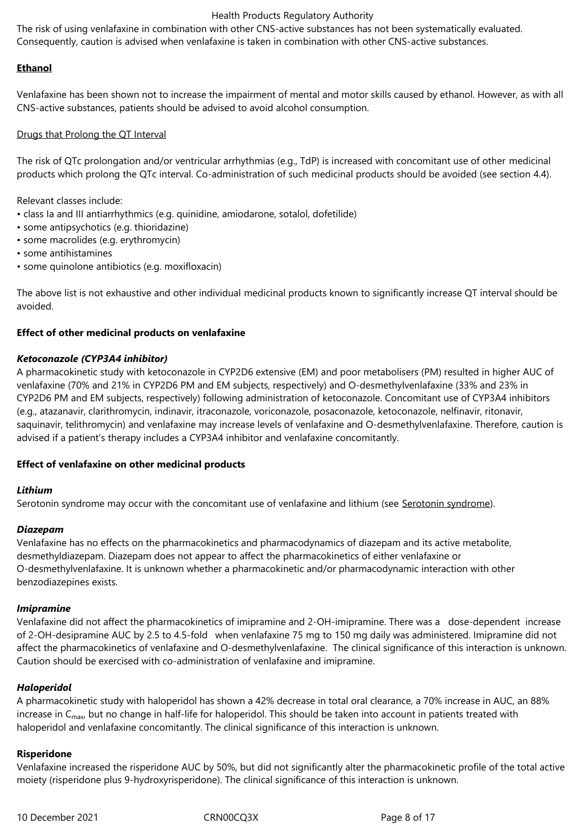# **Ethanol**

Venlafaxine has been shown not to increase the impairment of mental and motor skills caused by ethanol. However, as with all CNS-active substances, patients should be advised to avoid alcohol consumption.

## Drugs that Prolong the QT Interval

The risk of QTc prolongation and/or ventricular arrhythmias (e.g., TdP) is increased with concomitant use of other medicinal products which prolong the QTc interval. Co-administration of such medicinal products should be avoided (see section 4.4).

Relevant classes include:

- class Ia and III antiarrhythmics (e.g. quinidine, amiodarone, sotalol, dofetilide)
- some antipsychotics (e.g. thioridazine)
- some macrolides (e.g. erythromycin)
- some antihistamines
- some quinolone antibiotics (e.g. moxifloxacin)

The above list is not exhaustive and other individual medicinal products known to significantly increase QT interval should be avoided.

## **Effect of other medicinal products on venlafaxine**

#### *Ketoconazole (CYP3A4 inhibitor)*

A pharmacokinetic study with ketoconazole in CYP2D6 extensive (EM) and poor metabolisers (PM) resulted in higher AUC of venlafaxine (70% and 21% in CYP2D6 PM and EM subjects, respectively) and O‑desmethylvenlafaxine (33% and 23% in CYP2D6 PM and EM subjects, respectively) following administration of ketoconazole. Concomitant use of CYP3A4 inhibitors (e.g., atazanavir, clarithromycin, indinavir, itraconazole, voriconazole, posaconazole, ketoconazole, nelfinavir, ritonavir, saquinavir, telithromycin) and venlafaxine may increase levels of venlafaxine and O-desmethylvenlafaxine. Therefore, caution is advised if a patient's therapy includes a CYP3A4 inhibitor and venlafaxine concomitantly.

#### **Effect of venlafaxine on other medicinal products**

#### *Lithium*

Serotonin syndrome may occur with the concomitant use of venlafaxine and lithium (see Serotonin syndrome).

#### *Diazepam*

Venlafaxine has no effects on the pharmacokinetics and pharmacodynamics of diazepam and its active metabolite, desmethyldiazepam. Diazepam does not appear to affect the pharmacokinetics of either [venlafaxine or](/cm/SitePages/spc_paragraph.aspx?crn=2199434&id=416958¶no=12&mode=update&AppType=353#_Serotonin_syndrome)  O‑desmethylvenlafaxine. It is unknown whether a pharmacokinetic and/or pharmacodynamic interaction with other benzodiazepines exists.

#### *Imipramine*

Venlafaxine did not affect the pharmacokinetics of imipramine and 2‑OH‑imipramine. There was a dose‑dependent increase of 2‑OH‑desipramine AUC by 2.5 to 4.5‑fold when venlafaxine 75 mg to 150 mg daily was administered. Imipramine did not affect the pharmacokinetics of venlafaxine and O‑desmethylvenlafaxine. The clinical significance of this interaction is unknown. Caution should be exercised with co‑administration of venlafaxine and imipramine.

#### *Haloperidol*

A pharmacokinetic study with haloperidol has shown a 42% decrease in total oral clearance, a 70% increase in AUC, an 88% increase in  $C_{\text{max}}$ , but no change in half-life for haloperidol. This should be taken into account in patients treated with haloperidol and venlafaxine concomitantly. The clinical significance of this interaction is unknown.

#### **Risperidone**

Venlafaxine increased the risperidone AUC by 50%, but did not significantly alter the pharmacokinetic profile of the total active moiety (risperidone plus 9‑hydroxyrisperidone). The clinical significance of this interaction is unknown.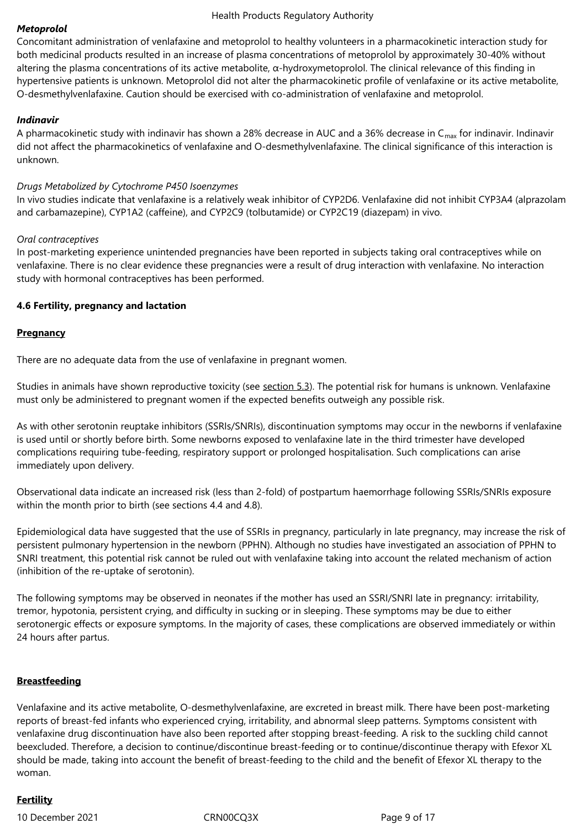both medicinal products resulted in an increase of plasma concentrations of metoprolol by approximately 30‑40% without altering the plasma concentrations of its active metabolite,  $α$ -hydroxymetoprolol. The clinical relevance of this finding in hypertensive patients is unknown. Metoprolol did not alter the pharmacokinetic profile of venlafaxine or its active metabolite, O‑desmethylvenlafaxine. Caution should be exercised with co‑administration of venlafaxine and metoprolol.

## *Indinavir*

A pharmacokinetic study with indinavir has shown a 28% decrease in AUC and a 36% decrease in C<sub>max</sub> for indinavir. Indinavir did not affect the pharmacokinetics of venlafaxine and O‑desmethylvenlafaxine. The clinical significance of this interaction is unknown.

#### *Drugs Metabolized by Cytochrome P450 Isoenzymes*

In vivo studies indicate that venlafaxine is a relatively weak inhibitor of CYP2D6. Venlafaxine did not inhibit CYP3A4 (alprazolam and carbamazepine), CYP1A2 (caffeine), and CYP2C9 (tolbutamide) or CYP2C19 (diazepam) in vivo.

## *Oral contraceptives*

In post-marketing experience unintended pregnancies have been reported in subjects taking oral contraceptives while on venlafaxine. There is no clear evidence these pregnancies were a result of drug interaction with venlafaxine. No interaction study with hormonal contraceptives has been performed.

# **4.6 Fertility, pregnancy and lactation**

## **Pregnancy**

There are no adequate data from the use of venlafaxine in pregnant women.

Studies in animals have shown reproductive toxicity (see section 5.3). The potential risk for humans is unknown. Venlafaxine must only be administered to pregnant women if the expected benefits outweigh any possible risk.

As with other serotonin reuptake inhibitors (SSRIs/SNRIs), discontinuation symptoms may occur in the newborns if venlafaxine is used until or shortly before birth. Some newborns exp[osed to ven](/cm/SitePages/spc_paragraph.aspx?crn=2133192&id=288283¶no=21&mode=update&AppType=267#_Preclinical_safety_data)lafaxine late in the third trimester have developed complications requiring tube-feeding, respiratory support or prolonged hospitalisation. Such complications can arise immediately upon delivery.

Observational data indicate an increased risk (less than 2-fold) of postpartum haemorrhage following SSRIs/SNRIs exposure within the month prior to birth (see sections 4.4 and 4.8).

Epidemiological data have suggested that the use of SSRIs in pregnancy, particularly in late pregnancy, may increase the risk of persistent pulmonary hypertension in the newborn (PPHN). Although no studies have investigated an association of PPHN to SNRI treatment, this potential risk cannot be ruled out with venlafaxine taking into account the related mechanism of action (inhibition of the re-uptake of serotonin).

The following symptoms may be observed in neonates if the mother has used an SSRI/SNRI late in pregnancy: irritability, tremor, hypotonia, persistent crying, and difficulty in sucking or in sleeping. These symptoms may be due to either serotonergic effects or exposure symptoms. In the majority of cases, these complications are observed immediately or within 24 hours after partus.

# **Breastfeeding**

Venlafaxine and its active metabolite, O‑desmethylvenlafaxine, are excreted in breast milk. There have been post-marketing reports of breast-fed infants who experienced crying, irritability, and abnormal sleep patterns. Symptoms consistent with venlafaxine drug discontinuation have also been reported after stopping breast-feeding. A risk to the suckling child cannot beexcluded. Therefore, a decision to continue/discontinue breast-feeding or to continue/discontinue therapy with Efexor XL should be made, taking into account the benefit of breast‑feeding to the child and the benefit of Efexor XL therapy to the woman.

# **Fertility**

10 December 2021 CRN00CQ3X Page 9 of 17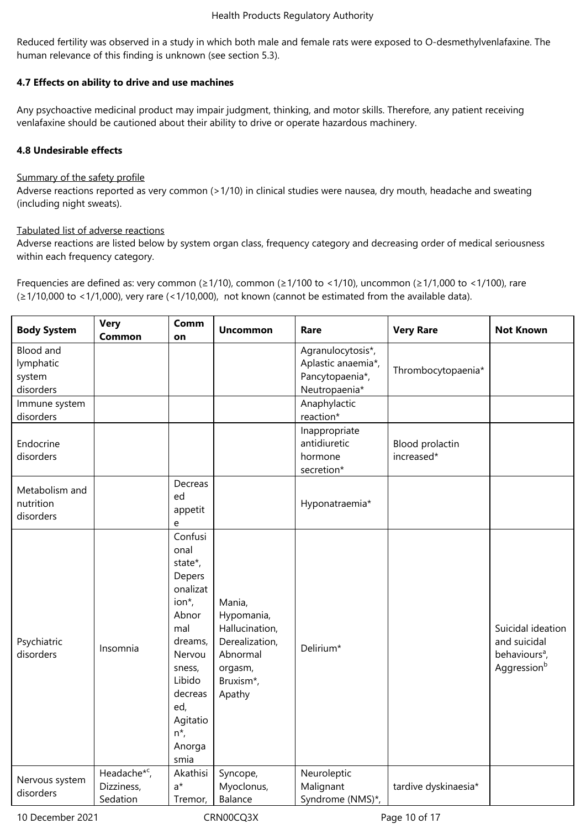Reduced fertility was observed in a study in which both male and female rats were exposed to O-desmethylvenlafaxine. The human relevance of this finding is unknown (see section 5.3).

# **4.7 Effects on ability to drive and use machines**

Any psychoactive medicinal product may impair judgment, thinking, and motor skills. Therefore, any patient receiving venlafaxine should be cautioned about their ability to drive or operate hazardous machinery.

# **4.8 Undesirable effects**

# Summary of the safety profile

Adverse reactions reported as very common (>1/10) in clinical studies were nausea, dry mouth, headache and sweating (including night sweats).

# Tabulated list of adverse reactions

Adverse reactions are listed below by system organ class, frequency category and decreasing order of medical seriousness within each frequency category.

Frequencies are defined as: very common (≥1/10), common (≥1/100 to <1/10), uncommon (≥1/1,000 to <1/100), rare (≥1/10,000 to <1/1,000), very rare (<1/10,000), not known (cannot be estimated from the available data).

| <b>Body System</b>                            | <b>Very</b><br>Common                              | Comm<br>on                                                                                                                                                                          | <b>Uncommon</b>                                                                                        | Rare                                                                        | <b>Very Rare</b>              | <b>Not Known</b>                                                              |
|-----------------------------------------------|----------------------------------------------------|-------------------------------------------------------------------------------------------------------------------------------------------------------------------------------------|--------------------------------------------------------------------------------------------------------|-----------------------------------------------------------------------------|-------------------------------|-------------------------------------------------------------------------------|
| Blood and<br>lymphatic<br>system<br>disorders |                                                    |                                                                                                                                                                                     |                                                                                                        | Agranulocytosis*,<br>Aplastic anaemia*,<br>Pancytopaenia*,<br>Neutropaenia* | Thrombocytopaenia*            |                                                                               |
| Immune system<br>disorders                    |                                                    |                                                                                                                                                                                     |                                                                                                        | Anaphylactic<br>reaction*                                                   |                               |                                                                               |
| Endocrine<br>disorders                        |                                                    |                                                                                                                                                                                     |                                                                                                        | Inappropriate<br>antidiuretic<br>hormone<br>secretion*                      | Blood prolactin<br>increased* |                                                                               |
| Metabolism and<br>nutrition<br>disorders      |                                                    | Decreas<br>ed<br>appetit<br>e                                                                                                                                                       |                                                                                                        | Hyponatraemia*                                                              |                               |                                                                               |
| Psychiatric<br>disorders                      | Insomnia                                           | Confusi<br>onal<br>state*,<br>Depers<br>onalizat<br>ion*,<br>Abnor<br>mal<br>dreams,<br>Nervou<br>sness,<br>Libido<br>decreas<br>ed,<br>Agitatio<br>$n^{\star}$ ,<br>Anorga<br>smia | Mania,<br>Hypomania,<br>Hallucination,<br>Derealization,<br>Abnormal<br>orgasm,<br>Bruxism*,<br>Apathy | Delirium*                                                                   |                               | Suicidal ideation<br>and suicidal<br>behaviours <sup>a</sup> ,<br>Aggressionb |
| Nervous system<br>disorders                   | Headache <sup>*c</sup> ,<br>Dizziness,<br>Sedation | Akathisi<br>$a^*$<br>Tremor,                                                                                                                                                        | Syncope,<br>Myoclonus,<br>Balance                                                                      | Neuroleptic<br>Malignant<br>Syndrome (NMS)*,                                | tardive dyskinaesia*          |                                                                               |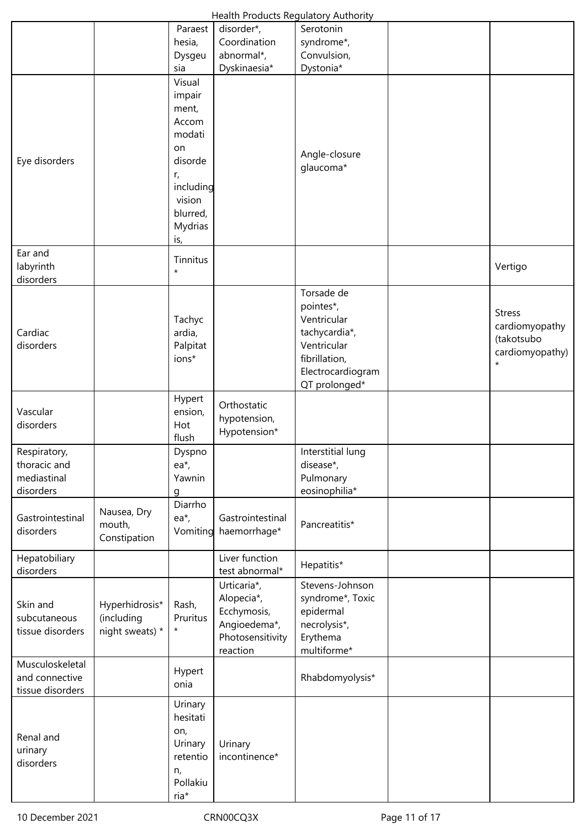Health Products Regulatory Authority

|                  |                 |                     | Health Products Regulatory Authority |                   |                            |
|------------------|-----------------|---------------------|--------------------------------------|-------------------|----------------------------|
|                  |                 | Paraest             | disorder*,                           | Serotonin         |                            |
|                  |                 | hesia,              | Coordination                         | syndrome*,        |                            |
|                  |                 | Dysgeu              | abnormal*,                           | Convulsion,       |                            |
|                  |                 | sia                 | Dyskinaesia*                         | Dystonia*         |                            |
|                  |                 | Visual              |                                      |                   |                            |
|                  |                 | impair              |                                      |                   |                            |
|                  |                 | ment,               |                                      |                   |                            |
|                  |                 | Accom               |                                      |                   |                            |
|                  |                 | modati              |                                      |                   |                            |
|                  |                 | on                  |                                      |                   |                            |
| Eye disorders    |                 | disorde             |                                      | Angle-closure     |                            |
|                  |                 |                     |                                      | glaucoma*         |                            |
|                  |                 | r,                  |                                      |                   |                            |
|                  |                 | including<br>vision |                                      |                   |                            |
|                  |                 |                     |                                      |                   |                            |
|                  |                 | blurred,            |                                      |                   |                            |
|                  |                 | Mydrias             |                                      |                   |                            |
|                  |                 | is,                 |                                      |                   |                            |
| Ear and          |                 | Tinnitus            |                                      |                   |                            |
| labyrinth        |                 | $\star$             |                                      |                   | Vertigo                    |
| disorders        |                 |                     |                                      |                   |                            |
|                  |                 |                     |                                      | Torsade de        |                            |
|                  |                 |                     |                                      | pointes*,         | <b>Stress</b>              |
|                  |                 | Tachyc              |                                      | Ventricular       | cardiomyopathy             |
| Cardiac          |                 | ardia,              |                                      | tachycardia*,     | (takotsubo                 |
| disorders        |                 | Palpitat            |                                      | Ventricular       |                            |
|                  |                 | ions*               |                                      | fibrillation,     | cardiomyopathy)<br>$\star$ |
|                  |                 |                     |                                      | Electrocardiogram |                            |
|                  |                 |                     |                                      | QT prolonged*     |                            |
|                  |                 | Hypert              |                                      |                   |                            |
| Vascular         |                 | ension,             | Orthostatic                          |                   |                            |
| disorders        |                 | Hot                 | hypotension,                         |                   |                            |
|                  |                 | flush               | Hypotension*                         |                   |                            |
| Respiratory,     |                 | Dyspno              |                                      | Interstitial lung |                            |
| thoracic and     |                 | $ea*$               |                                      | disease*,         |                            |
| mediastinal      |                 | Yawnin              |                                      |                   |                            |
|                  |                 |                     |                                      | Pulmonary         |                            |
| disorders        |                 | q                   |                                      | eosinophilia*     |                            |
|                  | Nausea, Dry     | Diarrho             |                                      |                   |                            |
| Gastrointestinal | mouth,          | $ea*$ ,             | Gastrointestinal                     | Pancreatitis*     |                            |
| disorders        | Constipation    | Vomiting            | haemorrhage*                         |                   |                            |
|                  |                 |                     |                                      |                   |                            |
| Hepatobiliary    |                 |                     | Liver function                       | Hepatitis*        |                            |
| disorders        |                 |                     | test abnormal*                       |                   |                            |
|                  |                 |                     | Urticaria*,                          | Stevens-Johnson   |                            |
|                  |                 |                     | Alopecia*,                           | syndrome*, Toxic  |                            |
| Skin and         | Hyperhidrosis*  | Rash,               | Ecchymosis,                          | epidermal         |                            |
| subcutaneous     | (including      | Pruritus            | Angioedema*,                         | necrolysis*,      |                            |
| tissue disorders | night sweats) * | $^\star$            | Photosensitivity                     | Erythema          |                            |
|                  |                 |                     | reaction                             | multiforme*       |                            |
| Musculoskeletal  |                 |                     |                                      |                   |                            |
| and connective   |                 | Hypert              |                                      | Rhabdomyolysis*   |                            |
| tissue disorders |                 | onia                |                                      |                   |                            |
|                  |                 | Urinary             |                                      |                   |                            |
|                  |                 | hesitati            |                                      |                   |                            |
|                  |                 |                     |                                      |                   |                            |
| Renal and        |                 | on,                 |                                      |                   |                            |
| urinary          |                 | Urinary             | Urinary                              |                   |                            |
| disorders        |                 | retentio            | incontinence*                        |                   |                            |
|                  |                 | n,                  |                                      |                   |                            |
|                  |                 | Pollakiu            |                                      |                   |                            |
|                  |                 | ria*                |                                      |                   |                            |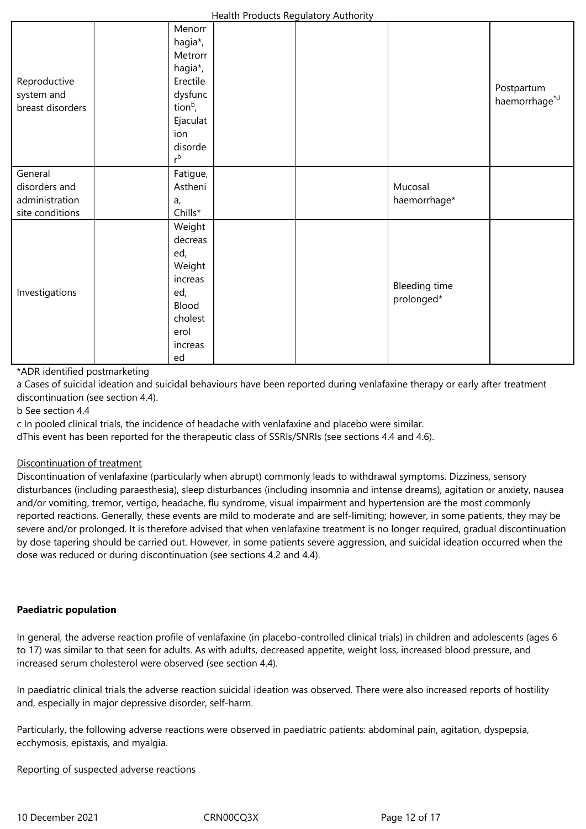| Reproductive<br>system and<br>breast disorders | Menorr<br>hagia*,<br>Metrorr<br>hagia*,<br>Erectile<br>dysfunc<br>tion <sup>b</sup> ,<br>Ejaculat<br>ion<br>disorde<br>$r^{b}$ |  |                                    | Postpartum<br>haemorrhage <sup>*d</sup> |
|------------------------------------------------|--------------------------------------------------------------------------------------------------------------------------------|--|------------------------------------|-----------------------------------------|
| General<br>disorders and                       | Fatigue,<br>Astheni                                                                                                            |  | Mucosal                            |                                         |
| administration                                 | a,                                                                                                                             |  | haemorrhage*                       |                                         |
| site conditions                                | Chills*                                                                                                                        |  |                                    |                                         |
| Investigations                                 | Weight<br>decreas<br>ed,<br>Weight<br>increas<br>ed,<br>Blood<br>cholest<br>erol<br>increas<br>ed                              |  | <b>Bleeding time</b><br>prolonged* |                                         |

\*ADR identified postmarketing

a Cases of suicidal ideation and suicidal behaviours have been reported during venlafaxine therapy or early after treatment discontinuation (see section 4.4).

b See section 4.4

c In pooled clinical trials, the incidence of headache with venlafaxine and placebo were similar.

dThis event has been reported for the therapeutic class of SSRIs/SNRIs (see sections 4.4 and 4.6).

# Discontinuation of treatment

Discontinuation of venlafaxine (particularly when abrupt) commonly leads to withdrawal symptoms. Dizziness, sensory disturbances (including paraesthesia), sleep disturbances (including insomnia and intense dreams), agitation or anxiety, nausea and/or vomiting, tremor, vertigo, headache, flu syndrome, visual impairment and hypertension are the most commonly reported reactions. Generally, these events are mild to moderate and are self-limiting; however, in some patients, they may be severe and/or prolonged. It is therefore advised that when venlafaxine treatment is no longer required, gradual discontinuation by dose tapering should be carried out. However, in some patients severe aggression, and suicidal ideation occurred when the dose was reduced or during discontinuation (see sections 4.2 and 4.4).

#### **Paediatric population**

In general, the adverse reaction profile of venlafaxine (in placebo-controlled clinical trials) in children and adolescents (ages 6 to 17) was similar to that seen for adults. As with adults, decreased appetite, weight loss, increased blood pressure, and increased serum cholesterol were observed (see section 4.4).

In paediatric clinical trials the adverse reaction suicidal ideation was observed. There were also increased reports of hostility and, especially in major depressive disorder, self-harm.

Particularly, the following adverse reactions were observed in paediatric patients: abdominal pain, agitation, dyspepsia, ecchymosis, epistaxis, and myalgia.

#### Reporting of suspected adverse reactions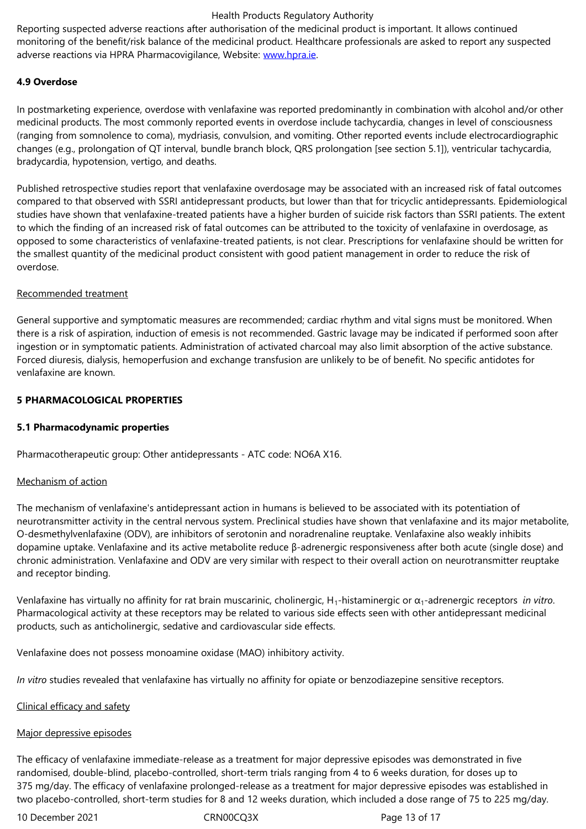adverse reactions via HPRA Pharmacovigilance, Website: www.hpra.ie.

#### **4.9 Overdose**

In postmarketing experience, overdose with venlafaxine [was reported](http://www.hpra.ie/) predominantly in combination with alcohol and/or other medicinal products. The most commonly reported events in overdose include tachycardia, changes in level of consciousness (ranging from somnolence to coma), mydriasis, convulsion, and vomiting. Other reported events include electrocardiographic changes (e.g., prolongation of QT interval, bundle branch block, QRS prolongation [see section 5.1]), ventricular tachycardia, bradycardia, hypotension, vertigo, and deaths.

Published retrospective studies report that venlafaxine overdosage may be associated with an increased risk of fatal outcomes compared to that observed with SSRI antidepressant products, but lower than that for tricyclic antidepressants. Epidemiological studies have shown that venlafaxine-treated patients have a higher burden of suicide risk factors than SSRI patients. The extent to which the finding of an increased risk of fatal outcomes can be attributed to the toxicity of venlafaxine in overdosage, as opposed to some characteristics of venlafaxine-treated patients, is not clear. Prescriptions for venlafaxine should be written for the smallest quantity of the medicinal product consistent with good patient management in order to reduce the risk of overdose.

#### Recommended treatment

General supportive and symptomatic measures are recommended; cardiac rhythm and vital signs must be monitored. When there is a risk of aspiration, induction of emesis is not recommended. Gastric lavage may be indicated if performed soon after ingestion or in symptomatic patients. Administration of activated charcoal may also limit absorption of the active substance. Forced diuresis, dialysis, hemoperfusion and exchange transfusion are unlikely to be of benefit. No specific antidotes for venlafaxine are known.

#### **5 PHARMACOLOGICAL PROPERTIES**

#### **5.1 Pharmacodynamic properties**

Pharmacotherapeutic group: Other antidepressants - ATC code: NO6A X16.

#### Mechanism of action

The mechanism of venlafaxine's antidepressant action in humans is believed to be associated with its potentiation of neurotransmitter activity in the central nervous system. Preclinical studies have shown that venlafaxine and its major metabolite, O‑desmethylvenlafaxine (ODV), are inhibitors of serotonin and noradrenaline reuptake. Venlafaxine also weakly inhibits dopamine uptake. Venlafaxine and its active metabolite reduce β‑adrenergic responsiveness after both acute (single dose) and chronic administration. Venlafaxine and ODV are very similar with respect to their overall action on neurotransmitter reuptake and receptor binding.

Venlafaxine has virtually no affinity for rat brain muscarinic, cholinergic, H<sub>1</sub>-histaminergic or  $\alpha_1$ -adrenergic receptors *in vitro*. Pharmacological activity at these receptors may be related to various side effects seen with other antidepressant medicinal products, such as anticholinergic, sedative and cardiovascular side effects.

Venlafaxine does not possess monoamine oxidase (MAO) inhibitory activity.

*In vitro* studies revealed that venlafaxine has virtually no affinity for opiate or benzodiazepine sensitive receptors.

#### Clinical efficacy and safety

#### Major depressive episodes

The efficacy of venlafaxine immediate-release as a treatment for major depressive episodes was demonstrated in five randomised, double-blind, placebo-controlled, short-term trials ranging from 4 to 6 weeks duration, for doses up to 375 mg/day. The efficacy of venlafaxine prolonged‑release as a treatment for major depressive episodes was established in two placebo‑controlled, short‑term studies for 8 and 12 weeks duration, which included a dose range of 75 to 225 mg/day.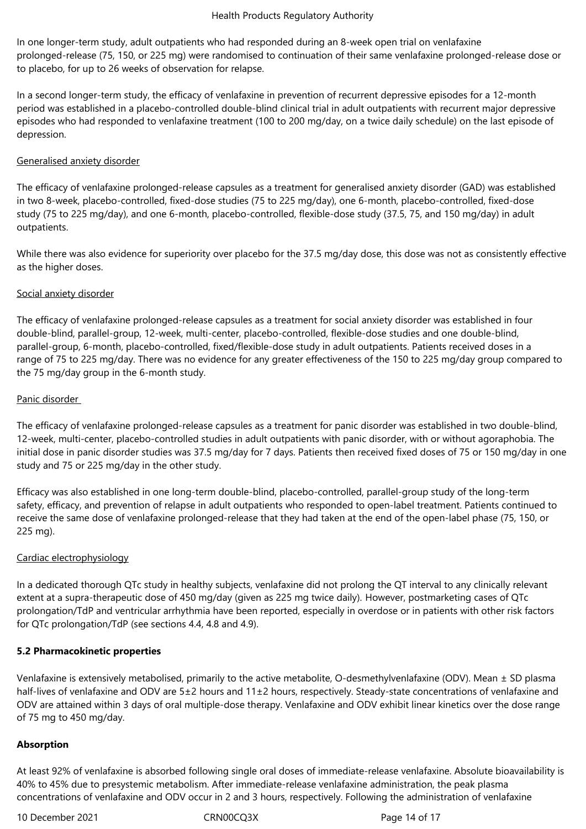#### Health Products Regulatory Authority

In one longer-term study, adult outpatients who had responded during an 8‑week open trial on venlafaxine prolonged-release (75, 150, or 225 mg) were randomised to continuation of their same venlafaxine prolonged-release dose or to placebo, for up to 26 weeks of observation for relapse.

In a second longer-term study, the efficacy of venlafaxine in prevention of recurrent depressive episodes for a 12‑month period was established in a placebo‑controlled double‑blind clinical trial in adult outpatients with recurrent major depressive episodes who had responded to venlafaxine treatment (100 to 200 mg/day, on a twice daily schedule) on the last episode of depression.

#### Generalised anxiety disorder

The efficacy of venlafaxine prolonged-release capsules as a treatment for generalised anxiety disorder (GAD) was established in two 8-week, placebo-controlled, fixed-dose studies (75 to 225 mg/day), one 6-month, placebo-controlled, fixed-dose study (75 to 225 mg/day), and one 6‑month, placebo‑controlled, flexible‑dose study (37.5, 75, and 150 mg/day) in adult outpatients.

While there was also evidence for superiority over placebo for the 37.5 mg/day dose, this dose was not as consistently effective as the higher doses.

## Social anxiety disorder

The efficacy of venlafaxine prolonged-release capsules as a treatment for social anxiety disorder was established in four double-blind, parallel-group, 12-week, multi-center, placebo-controlled, flexible-dose studies and one double-blind, parallel-group, 6-month, placebo-controlled, fixed/flexible-dose study in adult outpatients. Patients received doses in a range of 75 to 225 mg/day. There was no evidence for any greater effectiveness of the 150 to 225 mg/day group compared to the 75 mg/day group in the 6‑month study.

# Panic disorder

The efficacy of venlafaxine prolonged-release capsules as a treatment for panic disorder was established in two double-blind, 12-week, multi-center, placebo-controlled studies in adult outpatients with panic disorder, with or without agoraphobia. The initial dose in panic disorder studies was 37.5 mg/day for 7 days. Patients then received fixed doses of 75 or 150 mg/day in one study and 75 or 225 mg/day in the other study.

Efficacy was also established in one long-term double-blind, placebo-controlled, parallel-group study of the long-term safety, efficacy, and prevention of relapse in adult outpatients who responded to open‑label treatment. Patients continued to receive the same dose of venlafaxine prolonged‑release that they had taken at the end of the open-label phase (75, 150, or 225 mg).

# Cardiac electrophysiology

In a dedicated thorough QTc study in healthy subjects, venlafaxine did not prolong the QT interval to any clinically relevant extent at a supra-therapeutic dose of 450 mg/day (given as 225 mg twice daily). However, postmarketing cases of QTc prolongation/TdP and ventricular arrhythmia have been reported, especially in overdose or in patients with other risk factors for QTc prolongation/TdP (see sections 4.4, 4.8 and 4.9).

# **5.2 Pharmacokinetic properties**

Venlafaxine is extensively metabolised, primarily to the active metabolite, O-desmethylvenlafaxine (ODV). Mean ± SD plasma half-lives of venlafaxine and ODV are 5±2 hours and 11±2 hours, respectively. Steady-state concentrations of venlafaxine and ODV are attained within 3 days of oral multiple‑dose therapy. Venlafaxine and ODV exhibit linear kinetics over the dose range of 75 mg to 450 mg/day.

#### **Absorption**

At least 92% of venlafaxine is absorbed following single oral doses of immediate-release venlafaxine. Absolute bioavailability is 40% to 45% due to presystemic metabolism. After immediate-release venlafaxine administration, the peak plasma concentrations of venlafaxine and ODV occur in 2 and 3 hours, respectively. Following the administration of venlafaxine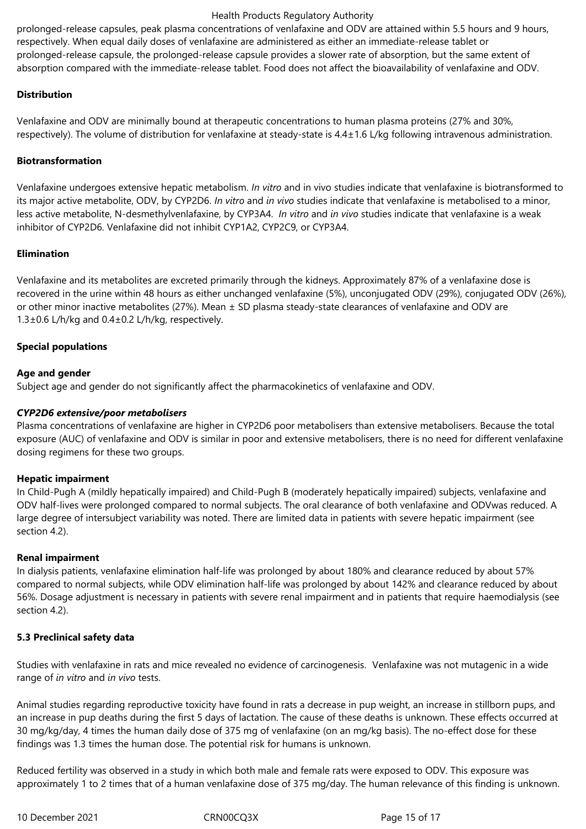#### Health Products Regulatory Authority

prolonged-release capsules, peak plasma concentrations of venlafaxine and ODV are attained within 5.5 hours and 9 hours, respectively. When equal daily doses of venlafaxine are administered as either an immediate-release tablet or prolonged‑release capsule, the prolonged-release capsule provides a slower rate of absorption, but the same extent of absorption compared with the immediate-release tablet. Food does not affect the bioavailability of venlafaxine and ODV.

## **Distribution**

Venlafaxine and ODV are minimally bound at therapeutic concentrations to human plasma proteins (27% and 30%, respectively). The volume of distribution for venlafaxine at steady-state is 4.4±1.6 L/kg following intravenous administration.

## **Biotransformation**

Venlafaxine undergoes extensive hepatic metabolism. *In vitro* and in vivo studies indicate that venlafaxine is biotransformed to its major active metabolite, ODV, by CYP2D6. *In vitro* and *in vivo* studies indicate that venlafaxine is metabolised to a minor, less active metabolite, N‑desmethylvenlafaxine, by CYP3A4. *In vitro* and *in vivo* studies indicate that venlafaxine is a weak inhibitor of CYP2D6. Venlafaxine did not inhibit CYP1A2, CYP2C9, or CYP3A4.

## **Elimination**

Venlafaxine and its metabolites are excreted primarily through the kidneys. Approximately 87% of a venlafaxine dose is recovered in the urine within 48 hours as either unchanged venlafaxine (5%), unconjugated ODV (29%), conjugated ODV (26%), or other minor inactive metabolites (27%). Mean ± SD plasma steady-state clearances of venlafaxine and ODV are 1.3 $\pm$ 0.6 L/h/kg and 0.4 $\pm$ 0.2 L/h/kg, respectively.

## **Special populations**

## **Age and gender**

Subject age and gender do not significantly affect the pharmacokinetics of venlafaxine and ODV.

## *CYP2D6 extensive/poor metabolisers*

Plasma concentrations of venlafaxine are higher in CYP2D6 poor metabolisers than extensive metabolisers. Because the total exposure (AUC) of venlafaxine and ODV is similar in poor and extensive metabolisers, there is no need for different venlafaxine dosing regimens for these two groups.

#### **Hepatic impairment**

In Child-Pugh A (mildly hepatically impaired) and Child-Pugh B (moderately hepatically impaired) subjects, venlafaxine and ODV half-lives were prolonged compared to normal subjects. The oral clearance of both venlafaxine and ODVwas reduced. A large degree of intersubject variability was noted. There are limited data in patients with severe hepatic impairment (see section 4.2).

#### **Renal impairment**

In dialysis patients, venlafaxine elimination half-life was prolonged by about 180% and clearance reduced by about 57% compared to normal subjects, while ODV elimination half-life was prolonged by about 142% and clearance reduced by about 56%. Dosage adjustment is necessary in patients with severe renal impairment and in patients that require haemodialysis (see section 4.2).

#### **5.3 Preclinical safety data**

Studies with venlafaxine in rats and mice revealed no evidence of carcinogenesis. Venlafaxine was not mutagenic in a wide range of *in vitro* and *in vivo* tests.

Animal studies regarding reproductive toxicity have found in rats a decrease in pup weight, an increase in stillborn pups, and an increase in pup deaths during the first 5 days of lactation. The cause of these deaths is unknown. These effects occurred at 30 mg/kg/day, 4 times the human daily dose of 375 mg of venlafaxine (on an mg/kg basis). The no-effect dose for these findings was 1.3 times the human dose. The potential risk for humans is unknown.

Reduced fertility was observed in a study in which both male and female rats were exposed to ODV. This exposure was approximately 1 to 2 times that of a human venlafaxine dose of 375 mg/day. The human relevance of this finding is unknown.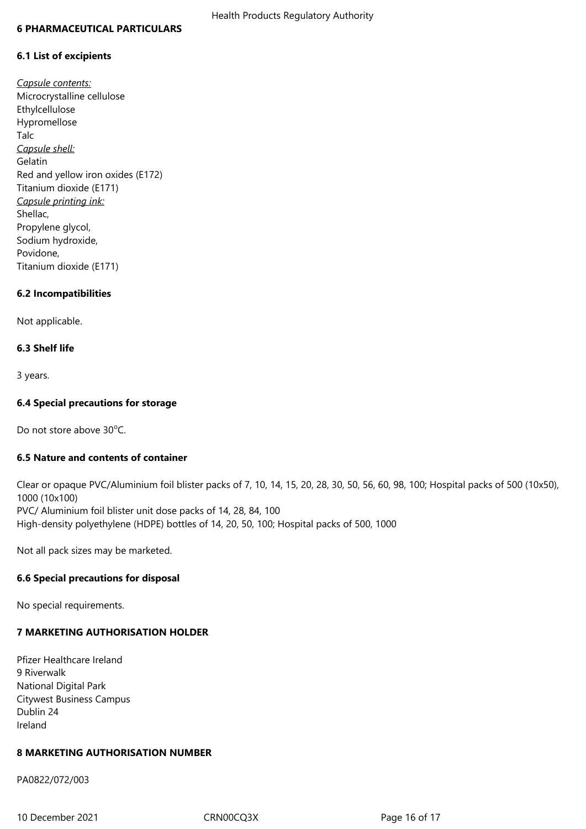#### **6 PHARMACEUTICAL PARTICULARS**

#### **6.1 List of excipients**

*Capsule contents:* Microcrystalline cellulose Ethylcellulose Hypromellose Talc *Capsule shell:* Gelatin Red and yellow iron oxides (E172) Titanium dioxide (E171) *Capsule printing ink:* Shellac, Propylene glycol, Sodium hydroxide, Povidone, Titanium dioxide (E171)

#### **6.2 Incompatibilities**

Not applicable.

#### **6.3 Shelf life**

3 years.

#### **6.4 Special precautions for storage**

Do not store above 30°C.

#### **6.5 Nature and contents of container**

Clear or opaque PVC/Aluminium foil blister packs of 7, 10, 14, 15, 20, 28, 30, 50, 56, 60, 98, 100; Hospital packs of 500 (10x50), 1000 (10x100) PVC/ Aluminium foil blister unit dose packs of 14, 28, 84, 100 High-density polyethylene (HDPE) bottles of 14, 20, 50, 100; Hospital packs of 500, 1000

Not all pack sizes may be marketed.

#### **6.6 Special precautions for disposal**

No special requirements.

#### **7 MARKETING AUTHORISATION HOLDER**

Pfizer Healthcare Ireland 9 Riverwalk National Digital Park Citywest Business Campus Dublin 24 Ireland

#### **8 MARKETING AUTHORISATION NUMBER**

PA0822/072/003

10 December 2021 CRN00CQ3X Page 16 of 17